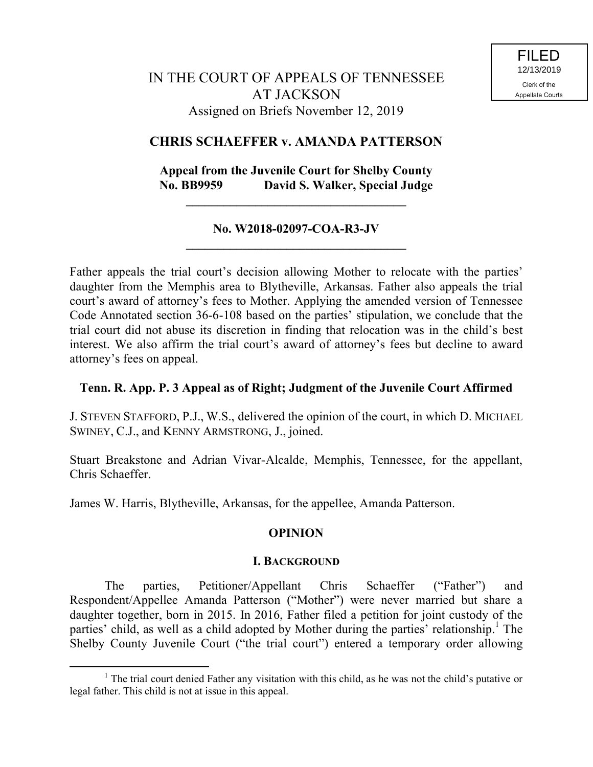## **CHRIS SCHAEFFER v. AMANDA PATTERSON**

## **Appeal from the Juvenile Court for Shelby County No. BB9959 David S. Walker, Special Judge**

#### **No. W2018-02097-COA-R3-JV \_\_\_\_\_\_\_\_\_\_\_\_\_\_\_\_\_\_\_\_\_\_\_\_\_\_\_\_\_\_\_\_\_\_\_**

**\_\_\_\_\_\_\_\_\_\_\_\_\_\_\_\_\_\_\_\_\_\_\_\_\_\_\_\_\_\_\_\_\_\_\_**

Father appeals the trial court's decision allowing Mother to relocate with the parties' daughter from the Memphis area to Blytheville, Arkansas. Father also appeals the trial court's award of attorney's fees to Mother. Applying the amended version of Tennessee Code Annotated section 36-6-108 based on the parties' stipulation, we conclude that the trial court did not abuse its discretion in finding that relocation was in the child's best interest. We also affirm the trial court's award of attorney's fees but decline to award attorney's fees on appeal.

## **Tenn. R. App. P. 3 Appeal as of Right; Judgment of the Juvenile Court Affirmed**

J. STEVEN STAFFORD, P.J., W.S., delivered the opinion of the court, in which D. MICHAEL SWINEY, C.J., and KENNY ARMSTRONG, J., joined.

Stuart Breakstone and Adrian Vivar-Alcalde, Memphis, Tennessee, for the appellant, Chris Schaeffer.

James W. Harris, Blytheville, Arkansas, for the appellee, Amanda Patterson.

 $\overline{a}$ 

## **OPINION**

#### **I. BACKGROUND**

The parties, Petitioner/Appellant Chris Schaeffer ("Father") and Respondent/Appellee Amanda Patterson ("Mother") were never married but share a daughter together, born in 2015. In 2016, Father filed a petition for joint custody of the parties' child, as well as a child adopted by Mother during the parties' relationship.<sup>1</sup> The Shelby County Juvenile Court ("the trial court") entered a temporary order allowing

 $<sup>1</sup>$  The trial court denied Father any visitation with this child, as he was not the child's putative or</sup> legal father. This child is not at issue in this appeal.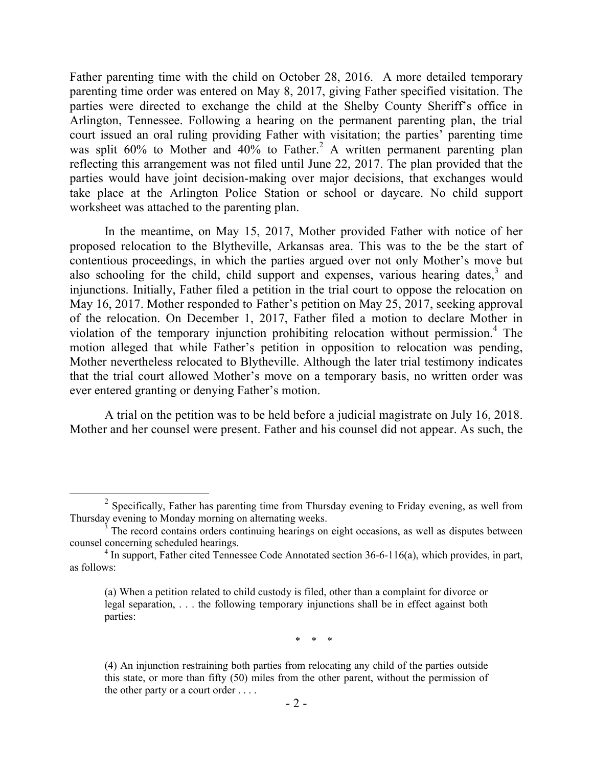Father parenting time with the child on October 28, 2016. A more detailed temporary parenting time order was entered on May 8, 2017, giving Father specified visitation. The parties were directed to exchange the child at the Shelby County Sheriff's office in Arlington, Tennessee. Following a hearing on the permanent parenting plan, the trial court issued an oral ruling providing Father with visitation; the parties' parenting time was split  $60\%$  to Mother and  $40\%$  to Father.<sup>2</sup> A written permanent parenting plan reflecting this arrangement was not filed until June 22, 2017. The plan provided that the parties would have joint decision-making over major decisions, that exchanges would take place at the Arlington Police Station or school or daycare. No child support worksheet was attached to the parenting plan.

In the meantime, on May 15, 2017, Mother provided Father with notice of her proposed relocation to the Blytheville, Arkansas area. This was to the be the start of contentious proceedings, in which the parties argued over not only Mother's move but also schooling for the child, child support and expenses, various hearing dates, $3$  and injunctions. Initially, Father filed a petition in the trial court to oppose the relocation on May 16, 2017. Mother responded to Father's petition on May 25, 2017, seeking approval of the relocation. On December 1, 2017, Father filed a motion to declare Mother in violation of the temporary injunction prohibiting relocation without permission.<sup>4</sup> The motion alleged that while Father's petition in opposition to relocation was pending, Mother nevertheless relocated to Blytheville. Although the later trial testimony indicates that the trial court allowed Mother's move on a temporary basis, no written order was ever entered granting or denying Father's motion.

A trial on the petition was to be held before a judicial magistrate on July 16, 2018. Mother and her counsel were present. Father and his counsel did not appear. As such, the

 $\overline{a}$ 

\* \* \*

 $2^2$  Specifically, Father has parenting time from Thursday evening to Friday evening, as well from Thursday evening to Monday morning on alternating weeks.

The record contains orders continuing hearings on eight occasions, as well as disputes between counsel concerning scheduled hearings.

<sup>&</sup>lt;sup>4</sup> In support, Father cited Tennessee Code Annotated section 36-6-116(a), which provides, in part, as follows:

<sup>(</sup>a) When a petition related to child custody is filed, other than a complaint for divorce or legal separation, . . . the following temporary injunctions shall be in effect against both parties:

<sup>(4)</sup> An injunction restraining both parties from relocating any child of the parties outside this state, or more than fifty (50) miles from the other parent, without the permission of the other party or a court order . . . .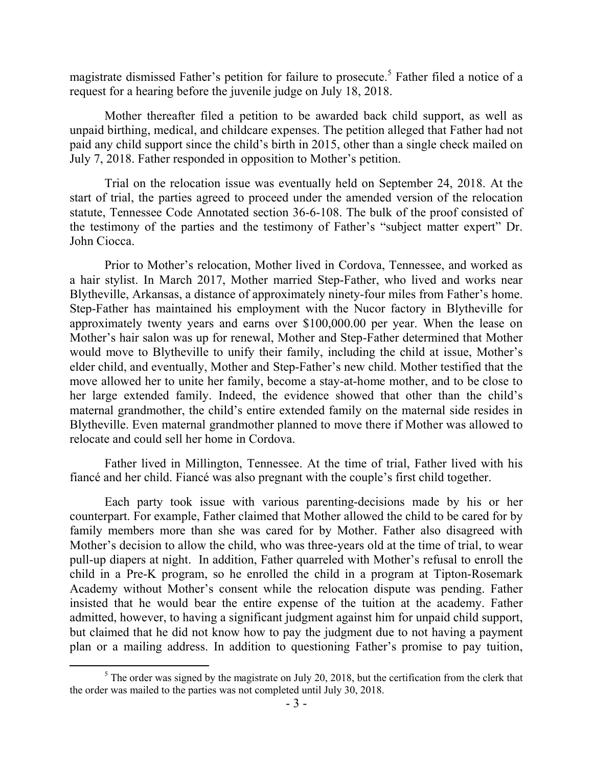magistrate dismissed Father's petition for failure to prosecute.<sup>5</sup> Father filed a notice of a request for a hearing before the juvenile judge on July 18, 2018.

Mother thereafter filed a petition to be awarded back child support, as well as unpaid birthing, medical, and childcare expenses. The petition alleged that Father had not paid any child support since the child's birth in 2015, other than a single check mailed on July 7, 2018. Father responded in opposition to Mother's petition.

Trial on the relocation issue was eventually held on September 24, 2018. At the start of trial, the parties agreed to proceed under the amended version of the relocation statute, Tennessee Code Annotated section 36-6-108. The bulk of the proof consisted of the testimony of the parties and the testimony of Father's "subject matter expert" Dr. John Ciocca.

Prior to Mother's relocation, Mother lived in Cordova, Tennessee, and worked as a hair stylist. In March 2017, Mother married Step-Father, who lived and works near Blytheville, Arkansas, a distance of approximately ninety-four miles from Father's home. Step-Father has maintained his employment with the Nucor factory in Blytheville for approximately twenty years and earns over \$100,000.00 per year. When the lease on Mother's hair salon was up for renewal, Mother and Step-Father determined that Mother would move to Blytheville to unify their family, including the child at issue, Mother's elder child, and eventually, Mother and Step-Father's new child. Mother testified that the move allowed her to unite her family, become a stay-at-home mother, and to be close to her large extended family. Indeed, the evidence showed that other than the child's maternal grandmother, the child's entire extended family on the maternal side resides in Blytheville. Even maternal grandmother planned to move there if Mother was allowed to relocate and could sell her home in Cordova.

Father lived in Millington, Tennessee. At the time of trial, Father lived with his fiancé and her child. Fiancé was also pregnant with the couple's first child together.

Each party took issue with various parenting-decisions made by his or her counterpart. For example, Father claimed that Mother allowed the child to be cared for by family members more than she was cared for by Mother. Father also disagreed with Mother's decision to allow the child, who was three-years old at the time of trial, to wear pull-up diapers at night. In addition, Father quarreled with Mother's refusal to enroll the child in a Pre-K program, so he enrolled the child in a program at Tipton-Rosemark Academy without Mother's consent while the relocation dispute was pending. Father insisted that he would bear the entire expense of the tuition at the academy. Father admitted, however, to having a significant judgment against him for unpaid child support, but claimed that he did not know how to pay the judgment due to not having a payment plan or a mailing address. In addition to questioning Father's promise to pay tuition,

 $<sup>5</sup>$  The order was signed by the magistrate on July 20, 2018, but the certification from the clerk that</sup> the order was mailed to the parties was not completed until July 30, 2018.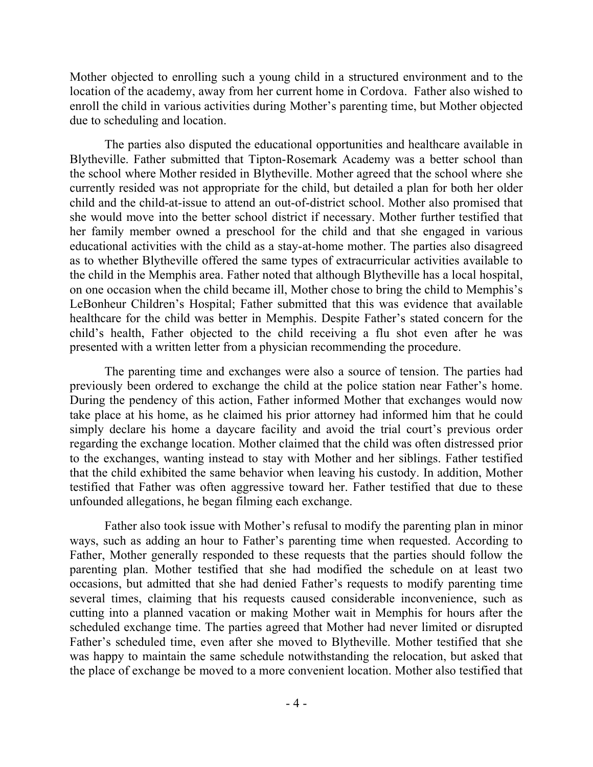Mother objected to enrolling such a young child in a structured environment and to the location of the academy, away from her current home in Cordova. Father also wished to enroll the child in various activities during Mother's parenting time, but Mother objected due to scheduling and location.

The parties also disputed the educational opportunities and healthcare available in Blytheville. Father submitted that Tipton-Rosemark Academy was a better school than the school where Mother resided in Blytheville. Mother agreed that the school where she currently resided was not appropriate for the child, but detailed a plan for both her older child and the child-at-issue to attend an out-of-district school. Mother also promised that she would move into the better school district if necessary. Mother further testified that her family member owned a preschool for the child and that she engaged in various educational activities with the child as a stay-at-home mother. The parties also disagreed as to whether Blytheville offered the same types of extracurricular activities available to the child in the Memphis area. Father noted that although Blytheville has a local hospital, on one occasion when the child became ill, Mother chose to bring the child to Memphis's LeBonheur Children's Hospital; Father submitted that this was evidence that available healthcare for the child was better in Memphis. Despite Father's stated concern for the child's health, Father objected to the child receiving a flu shot even after he was presented with a written letter from a physician recommending the procedure.

The parenting time and exchanges were also a source of tension. The parties had previously been ordered to exchange the child at the police station near Father's home. During the pendency of this action, Father informed Mother that exchanges would now take place at his home, as he claimed his prior attorney had informed him that he could simply declare his home a daycare facility and avoid the trial court's previous order regarding the exchange location. Mother claimed that the child was often distressed prior to the exchanges, wanting instead to stay with Mother and her siblings. Father testified that the child exhibited the same behavior when leaving his custody. In addition, Mother testified that Father was often aggressive toward her. Father testified that due to these unfounded allegations, he began filming each exchange.

Father also took issue with Mother's refusal to modify the parenting plan in minor ways, such as adding an hour to Father's parenting time when requested. According to Father, Mother generally responded to these requests that the parties should follow the parenting plan. Mother testified that she had modified the schedule on at least two occasions, but admitted that she had denied Father's requests to modify parenting time several times, claiming that his requests caused considerable inconvenience, such as cutting into a planned vacation or making Mother wait in Memphis for hours after the scheduled exchange time. The parties agreed that Mother had never limited or disrupted Father's scheduled time, even after she moved to Blytheville. Mother testified that she was happy to maintain the same schedule notwithstanding the relocation, but asked that the place of exchange be moved to a more convenient location. Mother also testified that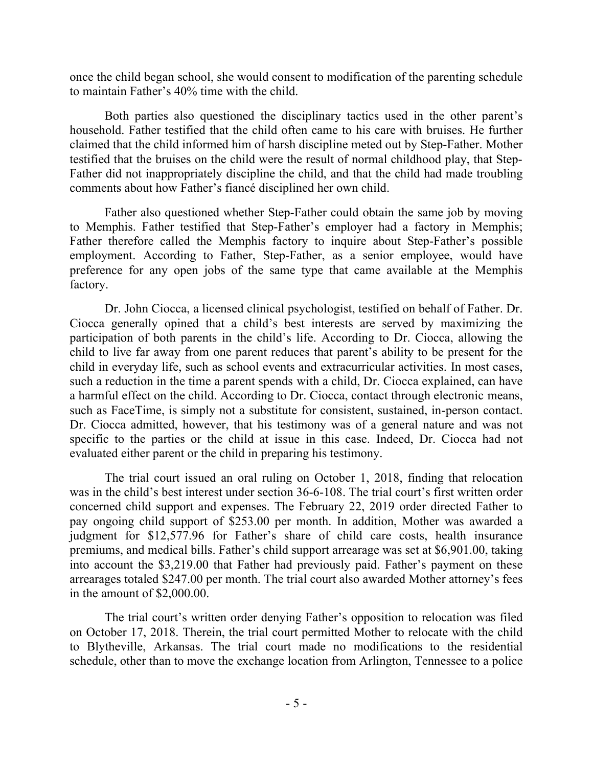once the child began school, she would consent to modification of the parenting schedule to maintain Father's 40% time with the child.

Both parties also questioned the disciplinary tactics used in the other parent's household. Father testified that the child often came to his care with bruises. He further claimed that the child informed him of harsh discipline meted out by Step-Father. Mother testified that the bruises on the child were the result of normal childhood play, that Step-Father did not inappropriately discipline the child, and that the child had made troubling comments about how Father's fiancé disciplined her own child.

Father also questioned whether Step-Father could obtain the same job by moving to Memphis. Father testified that Step-Father's employer had a factory in Memphis; Father therefore called the Memphis factory to inquire about Step-Father's possible employment. According to Father, Step-Father, as a senior employee, would have preference for any open jobs of the same type that came available at the Memphis factory.

Dr. John Ciocca, a licensed clinical psychologist, testified on behalf of Father. Dr. Ciocca generally opined that a child's best interests are served by maximizing the participation of both parents in the child's life. According to Dr. Ciocca, allowing the child to live far away from one parent reduces that parent's ability to be present for the child in everyday life, such as school events and extracurricular activities. In most cases, such a reduction in the time a parent spends with a child, Dr. Ciocca explained, can have a harmful effect on the child. According to Dr. Ciocca, contact through electronic means, such as FaceTime, is simply not a substitute for consistent, sustained, in-person contact. Dr. Ciocca admitted, however, that his testimony was of a general nature and was not specific to the parties or the child at issue in this case. Indeed, Dr. Ciocca had not evaluated either parent or the child in preparing his testimony.

The trial court issued an oral ruling on October 1, 2018, finding that relocation was in the child's best interest under section 36-6-108. The trial court's first written order concerned child support and expenses. The February 22, 2019 order directed Father to pay ongoing child support of \$253.00 per month. In addition, Mother was awarded a judgment for \$12,577.96 for Father's share of child care costs, health insurance premiums, and medical bills. Father's child support arrearage was set at \$6,901.00, taking into account the \$3,219.00 that Father had previously paid. Father's payment on these arrearages totaled \$247.00 per month. The trial court also awarded Mother attorney's fees in the amount of \$2,000.00.

The trial court's written order denying Father's opposition to relocation was filed on October 17, 2018. Therein, the trial court permitted Mother to relocate with the child to Blytheville, Arkansas. The trial court made no modifications to the residential schedule, other than to move the exchange location from Arlington, Tennessee to a police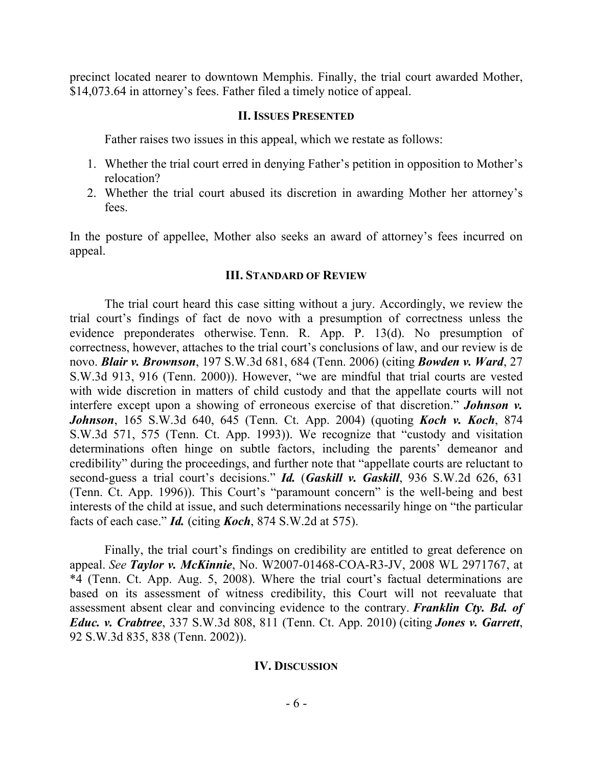precinct located nearer to downtown Memphis. Finally, the trial court awarded Mother, \$14,073.64 in attorney's fees. Father filed a timely notice of appeal.

#### **II. ISSUES PRESENTED**

Father raises two issues in this appeal, which we restate as follows:

- 1. Whether the trial court erred in denying Father's petition in opposition to Mother's relocation?
- 2. Whether the trial court abused its discretion in awarding Mother her attorney's fees.

In the posture of appellee, Mother also seeks an award of attorney's fees incurred on appeal.

#### **III. STANDARD OF REVIEW**

The trial court heard this case sitting without a jury. Accordingly, we review the trial court's findings of fact de novo with a presumption of correctness unless the evidence preponderates otherwise. Tenn. R. App. P. 13(d). No presumption of correctness, however, attaches to the trial court's conclusions of law, and our review is de novo. *Blair v. Brownson*, 197 S.W.3d 681, 684 (Tenn. 2006) (citing *Bowden v. Ward*, 27 S.W.3d 913, 916 (Tenn. 2000)). However, "we are mindful that trial courts are vested with wide discretion in matters of child custody and that the appellate courts will not interfere except upon a showing of erroneous exercise of that discretion." *Johnson v. Johnson*, 165 S.W.3d 640, 645 (Tenn. Ct. App. 2004) (quoting *Koch v. Koch*, 874 S.W.3d 571, 575 (Tenn. Ct. App. 1993)). We recognize that "custody and visitation determinations often hinge on subtle factors, including the parents' demeanor and credibility" during the proceedings, and further note that "appellate courts are reluctant to second-guess a trial court's decisions." *Id.* (*Gaskill v. Gaskill*, 936 S.W.2d 626, 631 (Tenn. Ct. App. 1996)). This Court's "paramount concern" is the well-being and best interests of the child at issue, and such determinations necessarily hinge on "the particular facts of each case." *Id.* (citing *Koch*, 874 S.W.2d at 575).

Finally, the trial court's findings on credibility are entitled to great deference on appeal. *See Taylor v. McKinnie*, No. W2007-01468-COA-R3-JV, 2008 WL 2971767, at \*4 (Tenn. Ct. App. Aug. 5, 2008). Where the trial court's factual determinations are based on its assessment of witness credibility, this Court will not reevaluate that assessment absent clear and convincing evidence to the contrary. *Franklin Cty. Bd. of Educ. v. Crabtree*, 337 S.W.3d 808, 811 (Tenn. Ct. App. 2010) (citing *Jones v. Garrett*, 92 S.W.3d 835, 838 (Tenn. 2002)).

## **IV. DISCUSSION**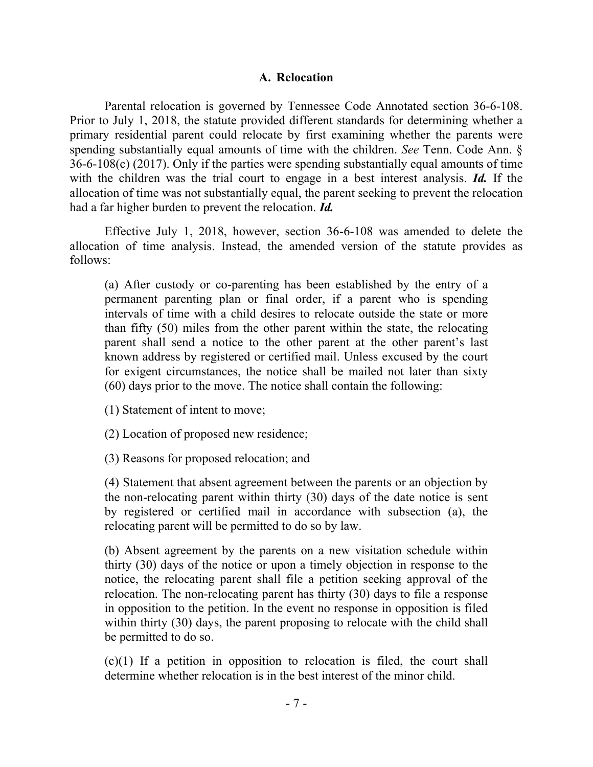#### **A. Relocation**

Parental relocation is governed by Tennessee Code Annotated section 36-6-108. Prior to July 1, 2018, the statute provided different standards for determining whether a primary residential parent could relocate by first examining whether the parents were spending substantially equal amounts of time with the children. *See* Tenn. Code Ann. § 36-6-108(c) (2017). Only if the parties were spending substantially equal amounts of time with the children was the trial court to engage in a best interest analysis. *Id.* If the allocation of time was not substantially equal, the parent seeking to prevent the relocation had a far higher burden to prevent the relocation. *Id.* 

Effective July 1, 2018, however, section 36-6-108 was amended to delete the allocation of time analysis. Instead, the amended version of the statute provides as follows:

(a) After custody or co-parenting has been established by the entry of a permanent parenting plan or final order, if a parent who is spending intervals of time with a child desires to relocate outside the state or more than fifty (50) miles from the other parent within the state, the relocating parent shall send a notice to the other parent at the other parent's last known address by registered or certified mail. Unless excused by the court for exigent circumstances, the notice shall be mailed not later than sixty (60) days prior to the move. The notice shall contain the following:

(1) Statement of intent to move;

(2) Location of proposed new residence;

(3) Reasons for proposed relocation; and

(4) Statement that absent agreement between the parents or an objection by the non-relocating parent within thirty (30) days of the date notice is sent by registered or certified mail in accordance with subsection (a), the relocating parent will be permitted to do so by law.

(b) Absent agreement by the parents on a new visitation schedule within thirty (30) days of the notice or upon a timely objection in response to the notice, the relocating parent shall file a petition seeking approval of the relocation. The non-relocating parent has thirty (30) days to file a response in opposition to the petition. In the event no response in opposition is filed within thirty (30) days, the parent proposing to relocate with the child shall be permitted to do so.

(c)(1) If a petition in opposition to relocation is filed, the court shall determine whether relocation is in the best interest of the minor child.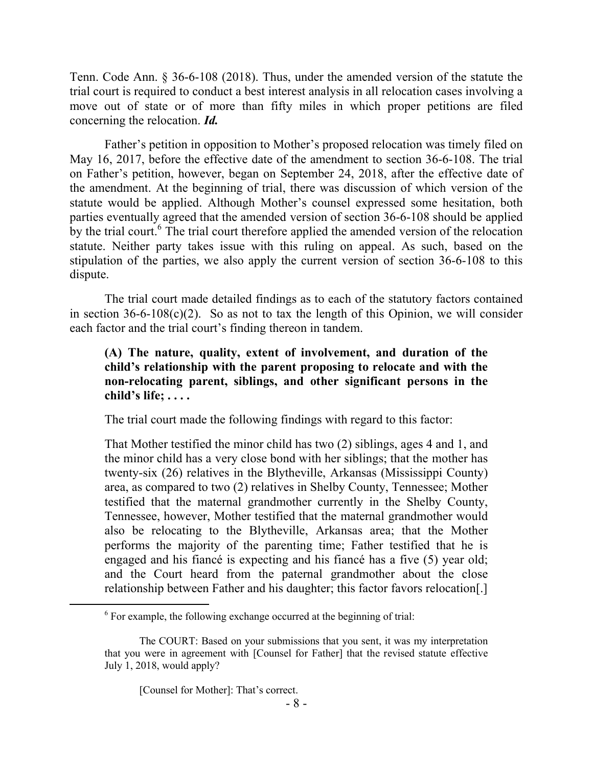Tenn. Code Ann. § 36-6-108 (2018). Thus, under the amended version of the statute the trial court is required to conduct a best interest analysis in all relocation cases involving a move out of state or of more than fifty miles in which proper petitions are filed concerning the relocation. *Id.* 

Father's petition in opposition to Mother's proposed relocation was timely filed on May 16, 2017, before the effective date of the amendment to section 36-6-108. The trial on Father's petition, however, began on September 24, 2018, after the effective date of the amendment. At the beginning of trial, there was discussion of which version of the statute would be applied. Although Mother's counsel expressed some hesitation, both parties eventually agreed that the amended version of section 36-6-108 should be applied by the trial court.  $6$  The trial court therefore applied the amended version of the relocation statute. Neither party takes issue with this ruling on appeal. As such, based on the stipulation of the parties, we also apply the current version of section 36-6-108 to this dispute.

The trial court made detailed findings as to each of the statutory factors contained in section  $36-6-108(c)(2)$ . So as not to tax the length of this Opinion, we will consider each factor and the trial court's finding thereon in tandem.

## **(A) The nature, quality, extent of involvement, and duration of the child's relationship with the parent proposing to relocate and with the non-relocating parent, siblings, and other significant persons in the child's life; . . . .**

The trial court made the following findings with regard to this factor:

That Mother testified the minor child has two (2) siblings, ages 4 and 1, and the minor child has a very close bond with her siblings; that the mother has twenty-six (26) relatives in the Blytheville, Arkansas (Mississippi County) area, as compared to two (2) relatives in Shelby County, Tennessee; Mother testified that the maternal grandmother currently in the Shelby County, Tennessee, however, Mother testified that the maternal grandmother would also be relocating to the Blytheville, Arkansas area; that the Mother performs the majority of the parenting time; Father testified that he is engaged and his fiancé is expecting and his fiancé has a five (5) year old; and the Court heard from the paternal grandmother about the close relationship between Father and his daughter; this factor favors relocation[.]

[Counsel for Mother]: That's correct.

 $6$  For example, the following exchange occurred at the beginning of trial:

The COURT: Based on your submissions that you sent, it was my interpretation that you were in agreement with [Counsel for Father] that the revised statute effective July 1, 2018, would apply?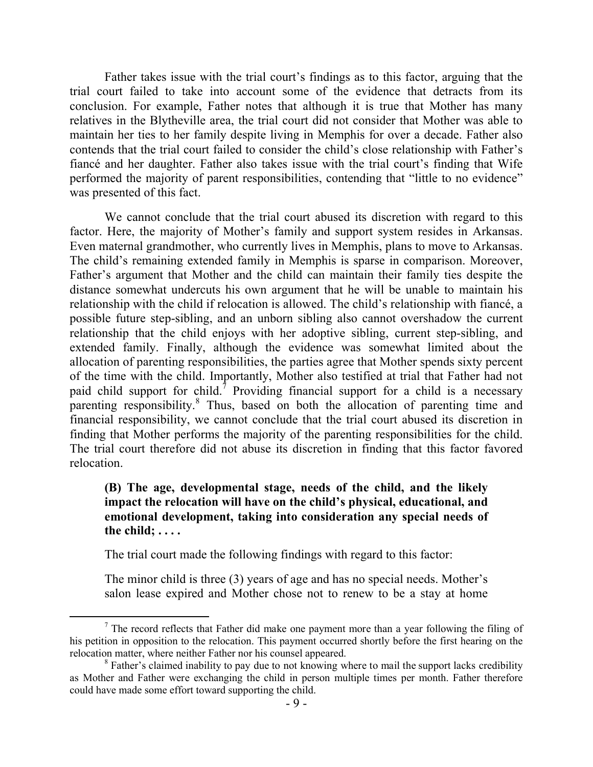Father takes issue with the trial court's findings as to this factor, arguing that the trial court failed to take into account some of the evidence that detracts from its conclusion. For example, Father notes that although it is true that Mother has many relatives in the Blytheville area, the trial court did not consider that Mother was able to maintain her ties to her family despite living in Memphis for over a decade. Father also contends that the trial court failed to consider the child's close relationship with Father's fiancé and her daughter. Father also takes issue with the trial court's finding that Wife performed the majority of parent responsibilities, contending that "little to no evidence" was presented of this fact.

We cannot conclude that the trial court abused its discretion with regard to this factor. Here, the majority of Mother's family and support system resides in Arkansas. Even maternal grandmother, who currently lives in Memphis, plans to move to Arkansas. The child's remaining extended family in Memphis is sparse in comparison. Moreover, Father's argument that Mother and the child can maintain their family ties despite the distance somewhat undercuts his own argument that he will be unable to maintain his relationship with the child if relocation is allowed. The child's relationship with fiancé, a possible future step-sibling, and an unborn sibling also cannot overshadow the current relationship that the child enjoys with her adoptive sibling, current step-sibling, and extended family. Finally, although the evidence was somewhat limited about the allocation of parenting responsibilities, the parties agree that Mother spends sixty percent of the time with the child. Importantly, Mother also testified at trial that Father had not paid child support for child.<sup>7</sup> Providing financial support for a child is a necessary parenting responsibility.<sup>8</sup> Thus, based on both the allocation of parenting time and financial responsibility, we cannot conclude that the trial court abused its discretion in finding that Mother performs the majority of the parenting responsibilities for the child. The trial court therefore did not abuse its discretion in finding that this factor favored relocation.

## **(B) The age, developmental stage, needs of the child, and the likely impact the relocation will have on the child's physical, educational, and emotional development, taking into consideration any special needs of the child; . . . .**

The trial court made the following findings with regard to this factor:

 $\overline{a}$ 

The minor child is three (3) years of age and has no special needs. Mother's salon lease expired and Mother chose not to renew to be a stay at home

<sup>&</sup>lt;sup>7</sup> The record reflects that Father did make one payment more than a year following the filing of his petition in opposition to the relocation. This payment occurred shortly before the first hearing on the relocation matter, where neither Father nor his counsel appeared.

<sup>&</sup>lt;sup>8</sup> Father's claimed inability to pay due to not knowing where to mail the support lacks credibility as Mother and Father were exchanging the child in person multiple times per month. Father therefore could have made some effort toward supporting the child.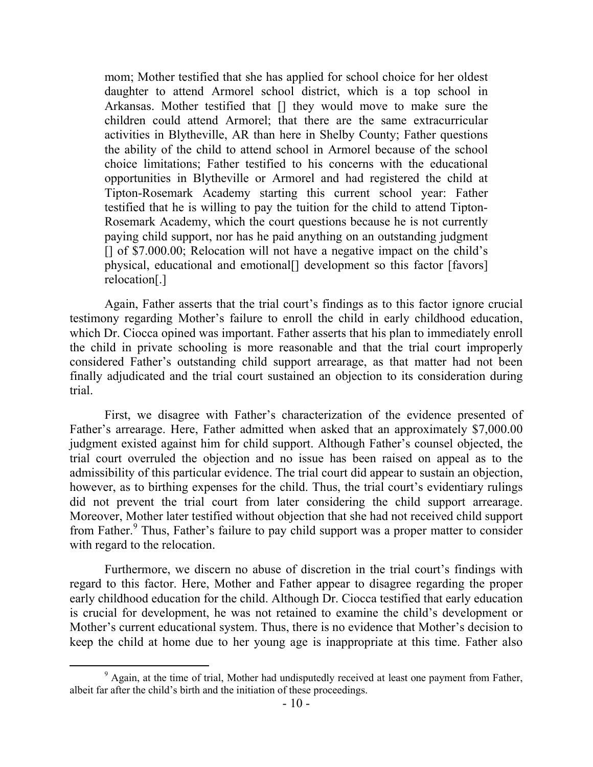mom; Mother testified that she has applied for school choice for her oldest daughter to attend Armorel school district, which is a top school in Arkansas. Mother testified that [] they would move to make sure the children could attend Armorel; that there are the same extracurricular activities in Blytheville, AR than here in Shelby County; Father questions the ability of the child to attend school in Armorel because of the school choice limitations; Father testified to his concerns with the educational opportunities in Blytheville or Armorel and had registered the child at Tipton-Rosemark Academy starting this current school year: Father testified that he is willing to pay the tuition for the child to attend Tipton-Rosemark Academy, which the court questions because he is not currently paying child support, nor has he paid anything on an outstanding judgment [] of \$7.000.00; Relocation will not have a negative impact on the child's physical, educational and emotional[] development so this factor [favors] relocation[.]

Again, Father asserts that the trial court's findings as to this factor ignore crucial testimony regarding Mother's failure to enroll the child in early childhood education, which Dr. Ciocca opined was important. Father asserts that his plan to immediately enroll the child in private schooling is more reasonable and that the trial court improperly considered Father's outstanding child support arrearage, as that matter had not been finally adjudicated and the trial court sustained an objection to its consideration during trial.

First, we disagree with Father's characterization of the evidence presented of Father's arrearage. Here, Father admitted when asked that an approximately \$7,000.00 judgment existed against him for child support. Although Father's counsel objected, the trial court overruled the objection and no issue has been raised on appeal as to the admissibility of this particular evidence. The trial court did appear to sustain an objection, however, as to birthing expenses for the child. Thus, the trial court's evidentiary rulings did not prevent the trial court from later considering the child support arrearage. Moreover, Mother later testified without objection that she had not received child support from Father.<sup>9</sup> Thus, Father's failure to pay child support was a proper matter to consider with regard to the relocation.

Furthermore, we discern no abuse of discretion in the trial court's findings with regard to this factor. Here, Mother and Father appear to disagree regarding the proper early childhood education for the child. Although Dr. Ciocca testified that early education is crucial for development, he was not retained to examine the child's development or Mother's current educational system. Thus, there is no evidence that Mother's decision to keep the child at home due to her young age is inappropriate at this time. Father also

<sup>&</sup>lt;sup>9</sup> Again, at the time of trial, Mother had undisputedly received at least one payment from Father, albeit far after the child's birth and the initiation of these proceedings.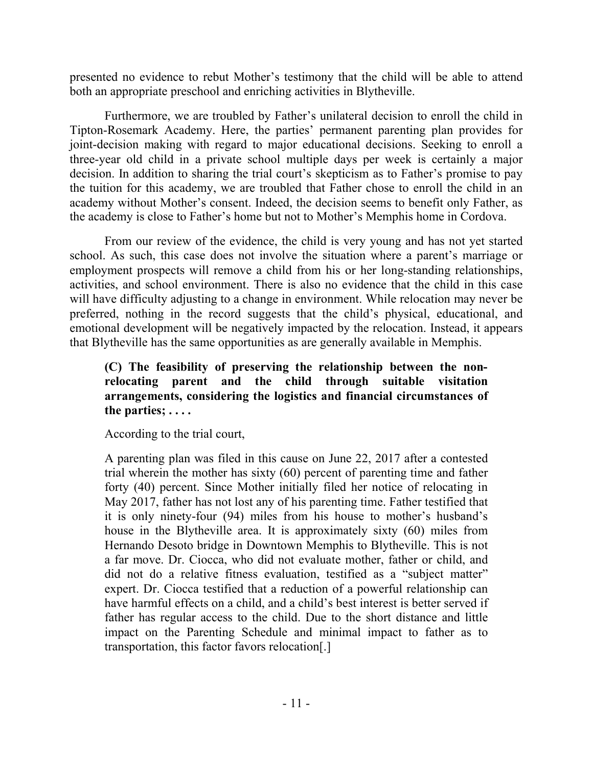presented no evidence to rebut Mother's testimony that the child will be able to attend both an appropriate preschool and enriching activities in Blytheville.

Furthermore, we are troubled by Father's unilateral decision to enroll the child in Tipton-Rosemark Academy. Here, the parties' permanent parenting plan provides for joint-decision making with regard to major educational decisions. Seeking to enroll a three-year old child in a private school multiple days per week is certainly a major decision. In addition to sharing the trial court's skepticism as to Father's promise to pay the tuition for this academy, we are troubled that Father chose to enroll the child in an academy without Mother's consent. Indeed, the decision seems to benefit only Father, as the academy is close to Father's home but not to Mother's Memphis home in Cordova.

From our review of the evidence, the child is very young and has not yet started school. As such, this case does not involve the situation where a parent's marriage or employment prospects will remove a child from his or her long-standing relationships, activities, and school environment. There is also no evidence that the child in this case will have difficulty adjusting to a change in environment. While relocation may never be preferred, nothing in the record suggests that the child's physical, educational, and emotional development will be negatively impacted by the relocation. Instead, it appears that Blytheville has the same opportunities as are generally available in Memphis.

## **(C) The feasibility of preserving the relationship between the nonrelocating parent and the child through suitable visitation arrangements, considering the logistics and financial circumstances of the parties; . . . .**

According to the trial court,

A parenting plan was filed in this cause on June 22, 2017 after a contested trial wherein the mother has sixty (60) percent of parenting time and father forty (40) percent. Since Mother initially filed her notice of relocating in May 2017, father has not lost any of his parenting time. Father testified that it is only ninety-four (94) miles from his house to mother's husband's house in the Blytheville area. It is approximately sixty (60) miles from Hernando Desoto bridge in Downtown Memphis to Blytheville. This is not a far move. Dr. Ciocca, who did not evaluate mother, father or child, and did not do a relative fitness evaluation, testified as a "subject matter" expert. Dr. Ciocca testified that a reduction of a powerful relationship can have harmful effects on a child, and a child's best interest is better served if father has regular access to the child. Due to the short distance and little impact on the Parenting Schedule and minimal impact to father as to transportation, this factor favors relocation[.]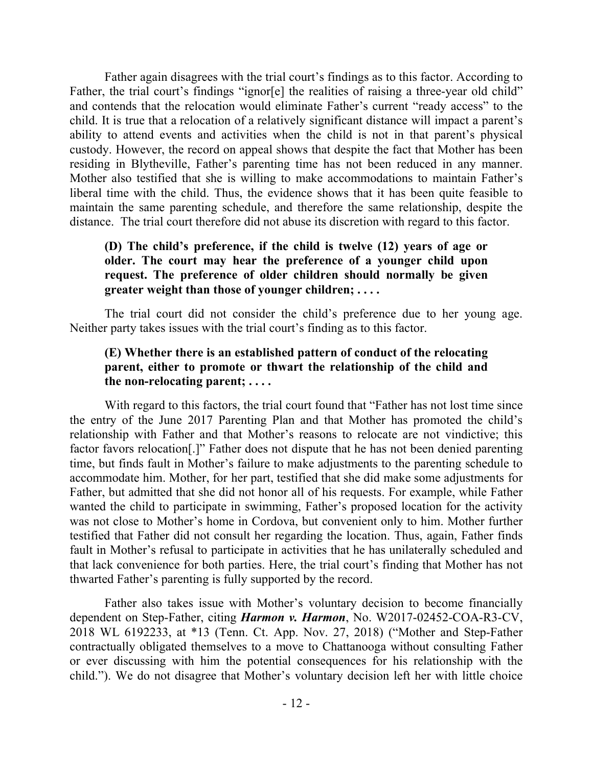Father again disagrees with the trial court's findings as to this factor. According to Father, the trial court's findings "ignor[e] the realities of raising a three-year old child" and contends that the relocation would eliminate Father's current "ready access" to the child. It is true that a relocation of a relatively significant distance will impact a parent's ability to attend events and activities when the child is not in that parent's physical custody. However, the record on appeal shows that despite the fact that Mother has been residing in Blytheville, Father's parenting time has not been reduced in any manner. Mother also testified that she is willing to make accommodations to maintain Father's liberal time with the child. Thus, the evidence shows that it has been quite feasible to maintain the same parenting schedule, and therefore the same relationship, despite the distance. The trial court therefore did not abuse its discretion with regard to this factor.

## **(D) The child's preference, if the child is twelve (12) years of age or older. The court may hear the preference of a younger child upon request. The preference of older children should normally be given greater weight than those of younger children; . . . .**

The trial court did not consider the child's preference due to her young age. Neither party takes issues with the trial court's finding as to this factor.

#### **(E) Whether there is an established pattern of conduct of the relocating parent, either to promote or thwart the relationship of the child and the non-relocating parent; . . . .**

With regard to this factors, the trial court found that "Father has not lost time since the entry of the June 2017 Parenting Plan and that Mother has promoted the child's relationship with Father and that Mother's reasons to relocate are not vindictive; this factor favors relocation[.]" Father does not dispute that he has not been denied parenting time, but finds fault in Mother's failure to make adjustments to the parenting schedule to accommodate him. Mother, for her part, testified that she did make some adjustments for Father, but admitted that she did not honor all of his requests. For example, while Father wanted the child to participate in swimming, Father's proposed location for the activity was not close to Mother's home in Cordova, but convenient only to him. Mother further testified that Father did not consult her regarding the location. Thus, again, Father finds fault in Mother's refusal to participate in activities that he has unilaterally scheduled and that lack convenience for both parties. Here, the trial court's finding that Mother has not thwarted Father's parenting is fully supported by the record.

Father also takes issue with Mother's voluntary decision to become financially dependent on Step-Father, citing *Harmon v. Harmon*, No. W2017-02452-COA-R3-CV, 2018 WL 6192233, at \*13 (Tenn. Ct. App. Nov. 27, 2018) ("Mother and Step-Father contractually obligated themselves to a move to Chattanooga without consulting Father or ever discussing with him the potential consequences for his relationship with the child."). We do not disagree that Mother's voluntary decision left her with little choice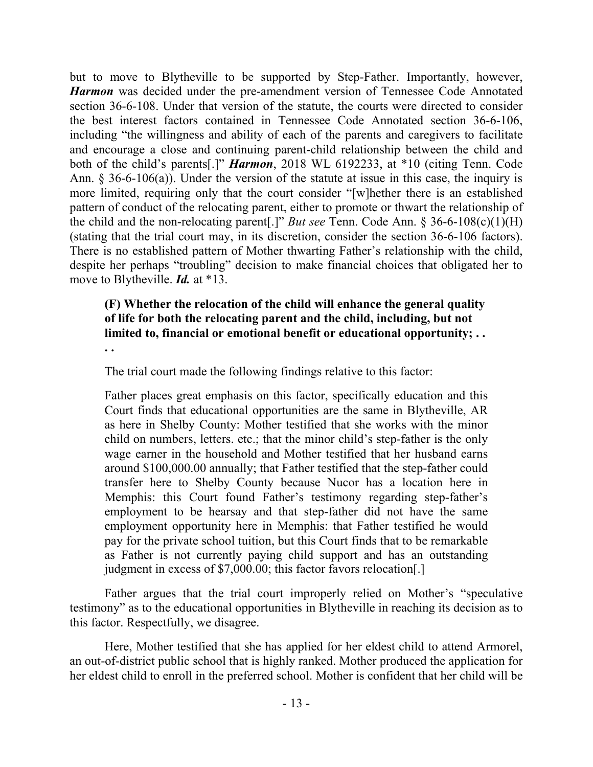but to move to Blytheville to be supported by Step-Father. Importantly, however, *Harmon* was decided under the pre-amendment version of Tennessee Code Annotated section 36-6-108. Under that version of the statute, the courts were directed to consider the best interest factors contained in Tennessee Code Annotated section 36-6-106, including "the willingness and ability of each of the parents and caregivers to facilitate and encourage a close and continuing parent-child relationship between the child and both of the child's parents[.]" *Harmon*, 2018 WL 6192233, at \*10 (citing Tenn. Code Ann. § 36-6-106(a)). Under the version of the statute at issue in this case, the inquiry is more limited, requiring only that the court consider "[w]hether there is an established pattern of conduct of the relocating parent, either to promote or thwart the relationship of the child and the non-relocating parent[.]" *But see* Tenn. Code Ann. § 36-6-108(c)(1)(H) (stating that the trial court may, in its discretion, consider the section 36-6-106 factors). There is no established pattern of Mother thwarting Father's relationship with the child, despite her perhaps "troubling" decision to make financial choices that obligated her to move to Blytheville. *Id.* at \*13.

# **(F) Whether the relocation of the child will enhance the general quality of life for both the relocating parent and the child, including, but not limited to, financial or emotional benefit or educational opportunity; . .**

**. .**

The trial court made the following findings relative to this factor:

Father places great emphasis on this factor, specifically education and this Court finds that educational opportunities are the same in Blytheville, AR as here in Shelby County: Mother testified that she works with the minor child on numbers, letters. etc.; that the minor child's step-father is the only wage earner in the household and Mother testified that her husband earns around \$100,000.00 annually; that Father testified that the step-father could transfer here to Shelby County because Nucor has a location here in Memphis: this Court found Father's testimony regarding step-father's employment to be hearsay and that step-father did not have the same employment opportunity here in Memphis: that Father testified he would pay for the private school tuition, but this Court finds that to be remarkable as Father is not currently paying child support and has an outstanding judgment in excess of \$7,000.00; this factor favors relocation[.]

Father argues that the trial court improperly relied on Mother's "speculative testimony" as to the educational opportunities in Blytheville in reaching its decision as to this factor. Respectfully, we disagree.

Here, Mother testified that she has applied for her eldest child to attend Armorel, an out-of-district public school that is highly ranked. Mother produced the application for her eldest child to enroll in the preferred school. Mother is confident that her child will be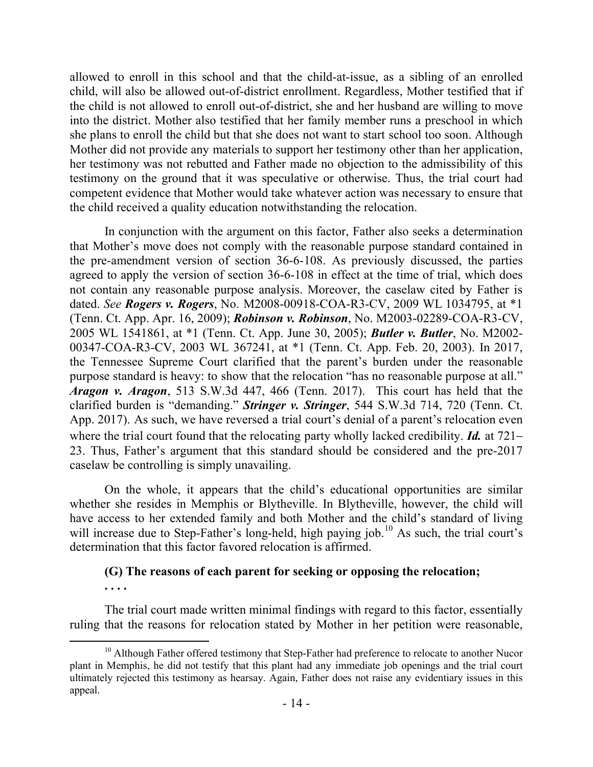allowed to enroll in this school and that the child-at-issue, as a sibling of an enrolled child, will also be allowed out-of-district enrollment. Regardless, Mother testified that if the child is not allowed to enroll out-of-district, she and her husband are willing to move into the district. Mother also testified that her family member runs a preschool in which she plans to enroll the child but that she does not want to start school too soon. Although Mother did not provide any materials to support her testimony other than her application, her testimony was not rebutted and Father made no objection to the admissibility of this testimony on the ground that it was speculative or otherwise. Thus, the trial court had competent evidence that Mother would take whatever action was necessary to ensure that the child received a quality education notwithstanding the relocation.

In conjunction with the argument on this factor, Father also seeks a determination that Mother's move does not comply with the reasonable purpose standard contained in the pre-amendment version of section 36-6-108. As previously discussed, the parties agreed to apply the version of section 36-6-108 in effect at the time of trial, which does not contain any reasonable purpose analysis. Moreover, the caselaw cited by Father is dated. *See Rogers v. Rogers*, No. M2008-00918-COA-R3-CV, 2009 WL 1034795, at \*1 (Tenn. Ct. App. Apr. 16, 2009); *Robinson v. Robinson*, No. M2003-02289-COA-R3-CV, 2005 WL 1541861, at \*1 (Tenn. Ct. App. June 30, 2005); *Butler v. Butler*, No. M2002- 00347-COA-R3-CV, 2003 WL 367241, at \*1 (Tenn. Ct. App. Feb. 20, 2003). In 2017, the Tennessee Supreme Court clarified that the parent's burden under the reasonable purpose standard is heavy: to show that the relocation "has no reasonable purpose at all." *Aragon v. Aragon*, 513 S.W.3d 447, 466 (Tenn. 2017). This court has held that the clarified burden is "demanding." *Stringer v. Stringer*, 544 S.W.3d 714, 720 (Tenn. Ct. App. 2017). As such, we have reversed a trial court's denial of a parent's relocation even where the trial court found that the relocating party wholly lacked credibility. *Id.* at 721– 23. Thus, Father's argument that this standard should be considered and the pre-2017 caselaw be controlling is simply unavailing.

On the whole, it appears that the child's educational opportunities are similar whether she resides in Memphis or Blytheville. In Blytheville, however, the child will have access to her extended family and both Mother and the child's standard of living will increase due to Step-Father's long-held, high paying job.<sup>10</sup> As such, the trial court's determination that this factor favored relocation is affirmed.

# **(G) The reasons of each parent for seeking or opposing the relocation;**

**. . . .**

The trial court made written minimal findings with regard to this factor, essentially ruling that the reasons for relocation stated by Mother in her petition were reasonable,

 <sup>10</sup> Although Father offered testimony that Step-Father had preference to relocate to another Nucor plant in Memphis, he did not testify that this plant had any immediate job openings and the trial court ultimately rejected this testimony as hearsay. Again, Father does not raise any evidentiary issues in this appeal.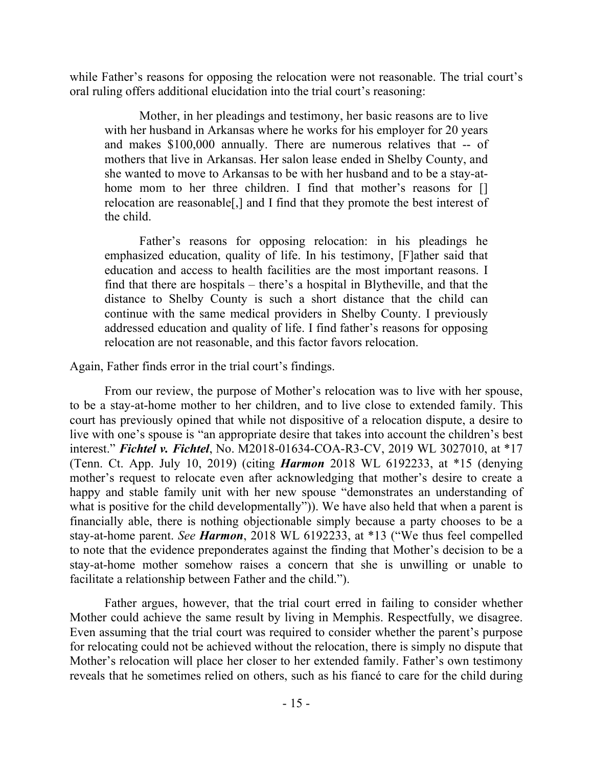while Father's reasons for opposing the relocation were not reasonable. The trial court's oral ruling offers additional elucidation into the trial court's reasoning:

Mother, in her pleadings and testimony, her basic reasons are to live with her husband in Arkansas where he works for his employer for 20 years and makes \$100,000 annually. There are numerous relatives that -- of mothers that live in Arkansas. Her salon lease ended in Shelby County, and she wanted to move to Arkansas to be with her husband and to be a stay-athome mom to her three children. I find that mother's reasons for [] relocation are reasonable[,] and I find that they promote the best interest of the child.

Father's reasons for opposing relocation: in his pleadings he emphasized education, quality of life. In his testimony, [F]ather said that education and access to health facilities are the most important reasons. I find that there are hospitals – there's a hospital in Blytheville, and that the distance to Shelby County is such a short distance that the child can continue with the same medical providers in Shelby County. I previously addressed education and quality of life. I find father's reasons for opposing relocation are not reasonable, and this factor favors relocation.

Again, Father finds error in the trial court's findings.

From our review, the purpose of Mother's relocation was to live with her spouse, to be a stay-at-home mother to her children, and to live close to extended family. This court has previously opined that while not dispositive of a relocation dispute, a desire to live with one's spouse is "an appropriate desire that takes into account the children's best interest." *Fichtel v. Fichtel*, No. M2018-01634-COA-R3-CV, 2019 WL 3027010, at \*17 (Tenn. Ct. App. July 10, 2019) (citing *Harmon* 2018 WL 6192233, at \*15 (denying mother's request to relocate even after acknowledging that mother's desire to create a happy and stable family unit with her new spouse "demonstrates an understanding of what is positive for the child developmentally")). We have also held that when a parent is financially able, there is nothing objectionable simply because a party chooses to be a stay-at-home parent. *See Harmon*, 2018 WL 6192233, at \*13 ("We thus feel compelled to note that the evidence preponderates against the finding that Mother's decision to be a stay-at-home mother somehow raises a concern that she is unwilling or unable to facilitate a relationship between Father and the child.").

Father argues, however, that the trial court erred in failing to consider whether Mother could achieve the same result by living in Memphis. Respectfully, we disagree. Even assuming that the trial court was required to consider whether the parent's purpose for relocating could not be achieved without the relocation, there is simply no dispute that Mother's relocation will place her closer to her extended family. Father's own testimony reveals that he sometimes relied on others, such as his fiancé to care for the child during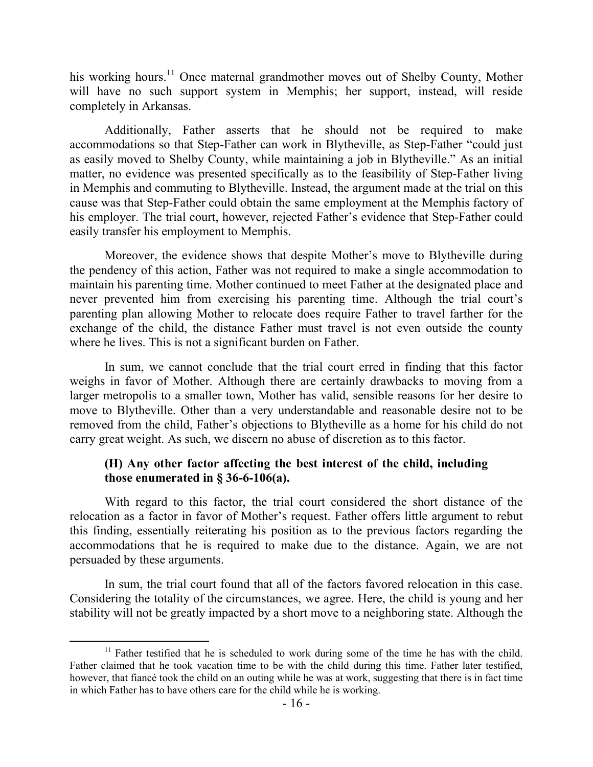his working hours.<sup>11</sup> Once maternal grandmother moves out of Shelby County, Mother will have no such support system in Memphis; her support, instead, will reside completely in Arkansas.

Additionally, Father asserts that he should not be required to make accommodations so that Step-Father can work in Blytheville, as Step-Father "could just as easily moved to Shelby County, while maintaining a job in Blytheville." As an initial matter, no evidence was presented specifically as to the feasibility of Step-Father living in Memphis and commuting to Blytheville. Instead, the argument made at the trial on this cause was that Step-Father could obtain the same employment at the Memphis factory of his employer. The trial court, however, rejected Father's evidence that Step-Father could easily transfer his employment to Memphis.

Moreover, the evidence shows that despite Mother's move to Blytheville during the pendency of this action, Father was not required to make a single accommodation to maintain his parenting time. Mother continued to meet Father at the designated place and never prevented him from exercising his parenting time. Although the trial court's parenting plan allowing Mother to relocate does require Father to travel farther for the exchange of the child, the distance Father must travel is not even outside the county where he lives. This is not a significant burden on Father.

In sum, we cannot conclude that the trial court erred in finding that this factor weighs in favor of Mother. Although there are certainly drawbacks to moving from a larger metropolis to a smaller town, Mother has valid, sensible reasons for her desire to move to Blytheville. Other than a very understandable and reasonable desire not to be removed from the child, Father's objections to Blytheville as a home for his child do not carry great weight. As such, we discern no abuse of discretion as to this factor.

#### **(H) Any other factor affecting the best interest of the child, including those enumerated in § 36-6-106(a).**

With regard to this factor, the trial court considered the short distance of the relocation as a factor in favor of Mother's request. Father offers little argument to rebut this finding, essentially reiterating his position as to the previous factors regarding the accommodations that he is required to make due to the distance. Again, we are not persuaded by these arguments.

In sum, the trial court found that all of the factors favored relocation in this case. Considering the totality of the circumstances, we agree. Here, the child is young and her stability will not be greatly impacted by a short move to a neighboring state. Although the

  $11$  Father testified that he is scheduled to work during some of the time he has with the child. Father claimed that he took vacation time to be with the child during this time. Father later testified, however, that fiancé took the child on an outing while he was at work, suggesting that there is in fact time in which Father has to have others care for the child while he is working.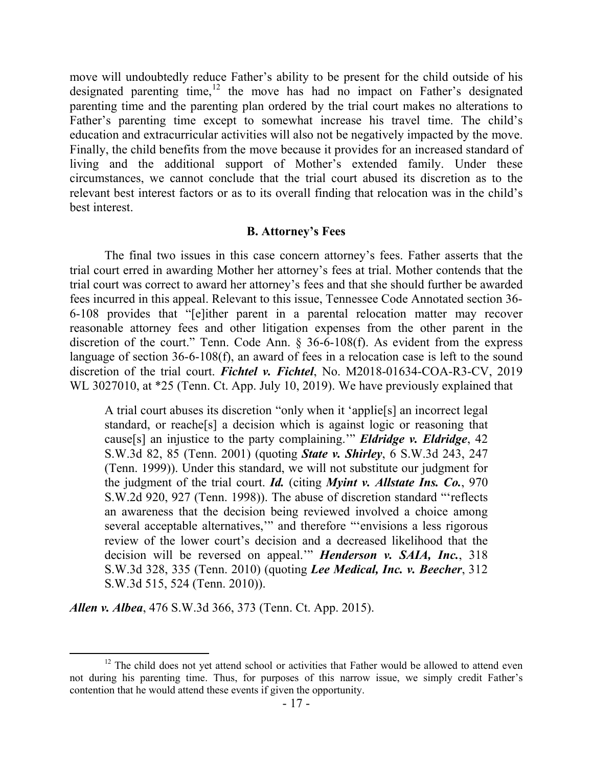move will undoubtedly reduce Father's ability to be present for the child outside of his designated parenting time, $12$  the move has had no impact on Father's designated parenting time and the parenting plan ordered by the trial court makes no alterations to Father's parenting time except to somewhat increase his travel time. The child's education and extracurricular activities will also not be negatively impacted by the move. Finally, the child benefits from the move because it provides for an increased standard of living and the additional support of Mother's extended family. Under these circumstances, we cannot conclude that the trial court abused its discretion as to the relevant best interest factors or as to its overall finding that relocation was in the child's best interest.

#### **B. Attorney's Fees**

The final two issues in this case concern attorney's fees. Father asserts that the trial court erred in awarding Mother her attorney's fees at trial. Mother contends that the trial court was correct to award her attorney's fees and that she should further be awarded fees incurred in this appeal. Relevant to this issue, Tennessee Code Annotated section 36- 6-108 provides that "[e]ither parent in a parental relocation matter may recover reasonable attorney fees and other litigation expenses from the other parent in the discretion of the court." Tenn. Code Ann. § 36-6-108(f). As evident from the express language of section 36-6-108(f), an award of fees in a relocation case is left to the sound discretion of the trial court. *Fichtel v. Fichtel*, No. M2018-01634-COA-R3-CV, 2019 WL 3027010, at \*25 (Tenn. Ct. App. July 10, 2019). We have previously explained that

A trial court abuses its discretion "only when it 'applie[s] an incorrect legal standard, or reache[s] a decision which is against logic or reasoning that cause[s] an injustice to the party complaining.'" *Eldridge v. Eldridge*, 42 S.W.3d 82, 85 (Tenn. 2001) (quoting *State v. Shirley*, 6 S.W.3d 243, 247 (Tenn. 1999)). Under this standard, we will not substitute our judgment for the judgment of the trial court. *Id.* (citing *Myint v. Allstate Ins. Co.*, 970 S.W.2d 920, 927 (Tenn. 1998)). The abuse of discretion standard "'reflects an awareness that the decision being reviewed involved a choice among several acceptable alternatives," and therefore "'envisions a less rigorous review of the lower court's decision and a decreased likelihood that the decision will be reversed on appeal.'" *Henderson v. SAIA, Inc.*, 318 S.W.3d 328, 335 (Tenn. 2010) (quoting *Lee Medical, Inc. v. Beecher*, 312 S.W.3d 515, 524 (Tenn. 2010)).

*Allen v. Albea*, 476 S.W.3d 366, 373 (Tenn. Ct. App. 2015).

<sup>&</sup>lt;sup>12</sup> The child does not yet attend school or activities that Father would be allowed to attend even not during his parenting time. Thus, for purposes of this narrow issue, we simply credit Father's contention that he would attend these events if given the opportunity.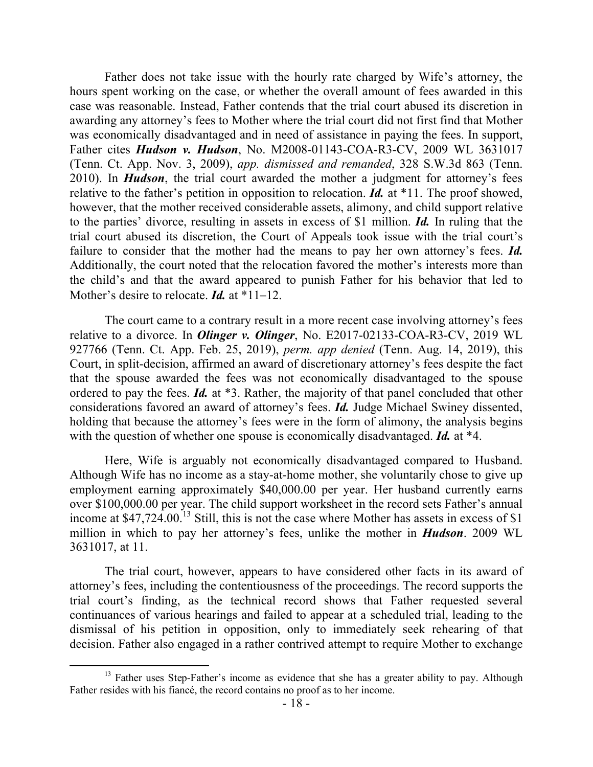Father does not take issue with the hourly rate charged by Wife's attorney, the hours spent working on the case, or whether the overall amount of fees awarded in this case was reasonable. Instead, Father contends that the trial court abused its discretion in awarding any attorney's fees to Mother where the trial court did not first find that Mother was economically disadvantaged and in need of assistance in paying the fees. In support, Father cites *Hudson v. Hudson*, No. M2008-01143-COA-R3-CV, 2009 WL 3631017 (Tenn. Ct. App. Nov. 3, 2009), *app. dismissed and remanded*, 328 S.W.3d 863 (Tenn. 2010). In *Hudson*, the trial court awarded the mother a judgment for attorney's fees relative to the father's petition in opposition to relocation. *Id.* at \*11. The proof showed, however, that the mother received considerable assets, alimony, and child support relative to the parties' divorce, resulting in assets in excess of \$1 million. *Id.* In ruling that the trial court abused its discretion, the Court of Appeals took issue with the trial court's failure to consider that the mother had the means to pay her own attorney's fees. *Id.* Additionally, the court noted that the relocation favored the mother's interests more than the child's and that the award appeared to punish Father for his behavior that led to Mother's desire to relocate. *Id.* at \*11–12.

The court came to a contrary result in a more recent case involving attorney's fees relative to a divorce. In *Olinger v. Olinger*, No. E2017-02133-COA-R3-CV, 2019 WL 927766 (Tenn. Ct. App. Feb. 25, 2019), *perm. app denied* (Tenn. Aug. 14, 2019), this Court, in split-decision, affirmed an award of discretionary attorney's fees despite the fact that the spouse awarded the fees was not economically disadvantaged to the spouse ordered to pay the fees. *Id.* at \*3. Rather, the majority of that panel concluded that other considerations favored an award of attorney's fees. *Id.* Judge Michael Swiney dissented, holding that because the attorney's fees were in the form of alimony, the analysis begins with the question of whether one spouse is economically disadvantaged. *Id.* at \*4.

Here, Wife is arguably not economically disadvantaged compared to Husband. Although Wife has no income as a stay-at-home mother, she voluntarily chose to give up employment earning approximately \$40,000.00 per year. Her husband currently earns over \$100,000.00 per year. The child support worksheet in the record sets Father's annual income at  $$47,724.00$ <sup>13</sup> Still, this is not the case where Mother has assets in excess of \$1 million in which to pay her attorney's fees, unlike the mother in *Hudson*. 2009 WL 3631017, at 11.

The trial court, however, appears to have considered other facts in its award of attorney's fees, including the contentiousness of the proceedings. The record supports the trial court's finding, as the technical record shows that Father requested several continuances of various hearings and failed to appear at a scheduled trial, leading to the dismissal of his petition in opposition, only to immediately seek rehearing of that decision. Father also engaged in a rather contrived attempt to require Mother to exchange

 $13$  Father uses Step-Father's income as evidence that she has a greater ability to pay. Although Father resides with his fiancé, the record contains no proof as to her income.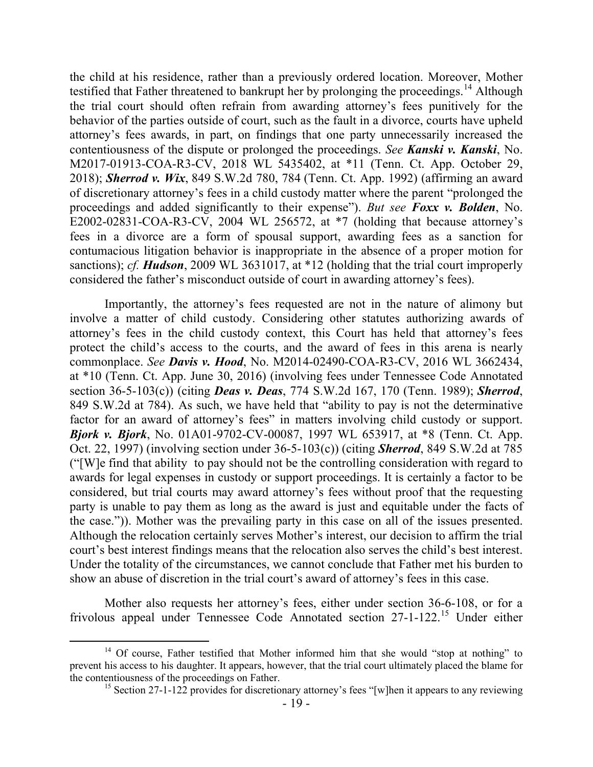the child at his residence, rather than a previously ordered location. Moreover, Mother testified that Father threatened to bankrupt her by prolonging the proceedings.<sup>14</sup> Although the trial court should often refrain from awarding attorney's fees punitively for the behavior of the parties outside of court, such as the fault in a divorce, courts have upheld attorney's fees awards, in part, on findings that one party unnecessarily increased the contentiousness of the dispute or prolonged the proceedings. *See Kanski v. Kanski*, No. M2017-01913-COA-R3-CV, 2018 WL 5435402, at \*11 (Tenn. Ct. App. October 29, 2018); *Sherrod v. Wix*, 849 S.W.2d 780, 784 (Tenn. Ct. App. 1992) (affirming an award of discretionary attorney's fees in a child custody matter where the parent "prolonged the proceedings and added significantly to their expense"). *But see Foxx v. Bolden*, No. E2002-02831-COA-R3-CV, 2004 WL 256572, at \*7 (holding that because attorney's fees in a divorce are a form of spousal support, awarding fees as a sanction for contumacious litigation behavior is inappropriate in the absence of a proper motion for sanctions); *cf.* **Hudson**, 2009 WL 3631017, at \*12 (holding that the trial court improperly considered the father's misconduct outside of court in awarding attorney's fees).

Importantly, the attorney's fees requested are not in the nature of alimony but involve a matter of child custody. Considering other statutes authorizing awards of attorney's fees in the child custody context, this Court has held that attorney's fees protect the child's access to the courts, and the award of fees in this arena is nearly commonplace. *See Davis v. Hood*, No. M2014-02490-COA-R3-CV, 2016 WL 3662434, at \*10 (Tenn. Ct. App. June 30, 2016) (involving fees under Tennessee Code Annotated section 36-5-103(c)) (citing *Deas v. Deas*, 774 S.W.2d 167, 170 (Tenn. 1989); *Sherrod*, 849 S.W.2d at 784). As such, we have held that "ability to pay is not the determinative factor for an award of attorney's fees" in matters involving child custody or support. *Bjork v. Bjork*, No. 01A01-9702-CV-00087, 1997 WL 653917, at \*8 (Tenn. Ct. App. Oct. 22, 1997) (involving section under 36-5-103(c)) (citing *Sherrod*, 849 S.W.2d at 785 ("[W]e find that ability to pay should not be the controlling consideration with regard to awards for legal expenses in custody or support proceedings. It is certainly a factor to be considered, but trial courts may award attorney's fees without proof that the requesting party is unable to pay them as long as the award is just and equitable under the facts of the case.")). Mother was the prevailing party in this case on all of the issues presented. Although the relocation certainly serves Mother's interest, our decision to affirm the trial court's best interest findings means that the relocation also serves the child's best interest. Under the totality of the circumstances, we cannot conclude that Father met his burden to show an abuse of discretion in the trial court's award of attorney's fees in this case.

Mother also requests her attorney's fees, either under section 36-6-108, or for a frivolous appeal under Tennessee Code Annotated section 27-1-122.<sup>15</sup> Under either

 $14$  Of course, Father testified that Mother informed him that she would "stop at nothing" to prevent his access to his daughter. It appears, however, that the trial court ultimately placed the blame for the contentiousness of the proceedings on Father.

<sup>&</sup>lt;sup>15</sup> Section 27-1-122 provides for discretionary attorney's fees "[w]hen it appears to any reviewing